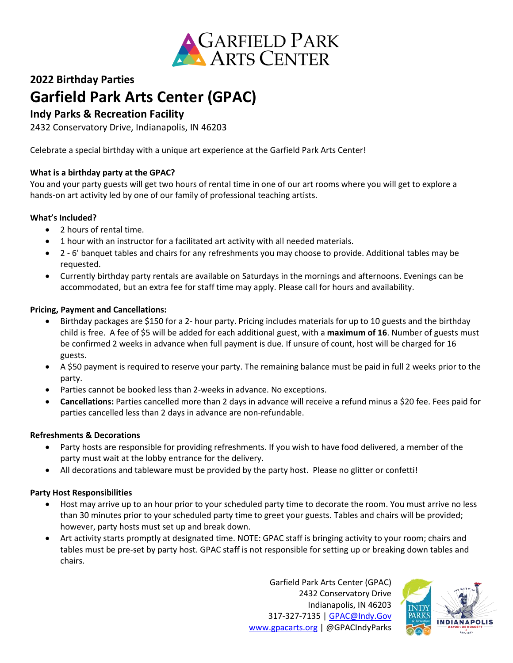

# **2022 Birthday Parties Garfield Park Arts Center (GPAC)**

# **Indy Parks & Recreation Facility**

2432 Conservatory Drive, Indianapolis, IN 46203

Celebrate a special birthday with a unique art experience at the Garfield Park Arts Center!

### **What is a birthday party at the GPAC?**

You and your party guests will get two hours of rental time in one of our art rooms where you will get to explore a hands-on art activity led by one of our family of professional teaching artists.

### **What's Included?**

- 2 hours of rental time.
- 1 hour with an instructor for a facilitated art activity with all needed materials.
- 2 6' banquet tables and chairs for any refreshments you may choose to provide. Additional tables may be requested.
- Currently birthday party rentals are available on Saturdays in the mornings and afternoons. Evenings can be accommodated, but an extra fee for staff time may apply. Please call for hours and availability.

### **Pricing, Payment and Cancellations:**

- Birthday packages are \$150 for a 2- hour party. Pricing includes materials for up to 10 guests and the birthday child is free. A fee of \$5 will be added for each additional guest, with a **maximum of 16**. Number of guests must be confirmed 2 weeks in advance when full payment is due. If unsure of count, host will be charged for 16 guests.
- A \$50 payment is required to reserve your party. The remaining balance must be paid in full 2 weeks prior to the party.
- Parties cannot be booked less than 2-weeks in advance. No exceptions.
- **Cancellations:** Parties cancelled more than 2 days in advance will receive a refund minus a \$20 fee. Fees paid for parties cancelled less than 2 days in advance are non-refundable.

#### **Refreshments & Decorations**

- Party hosts are responsible for providing refreshments. If you wish to have food delivered, a member of the party must wait at the lobby entrance for the delivery.
- All decorations and tableware must be provided by the party host. Please no glitter or confetti!

## **Party Host Responsibilities**

- Host may arrive up to an hour prior to your scheduled party time to decorate the room. You must arrive no less than 30 minutes prior to your scheduled party time to greet your guests. Tables and chairs will be provided; however, party hosts must set up and break down.
- Art activity starts promptly at designated time. NOTE: GPAC staff is bringing activity to your room; chairs and tables must be pre-set by party host. GPAC staff is not responsible for setting up or breaking down tables and chairs.

Garfield Park Arts Center (GPAC) 2432 Conservatory Drive Indianapolis, IN 46203 317-327-7135 | [GPAC@Indy.Gov](mailto:GPAC@Indy.Gov) [www.gpacarts.org](http://www.gpacarts.org/) | @GPACIndyParks

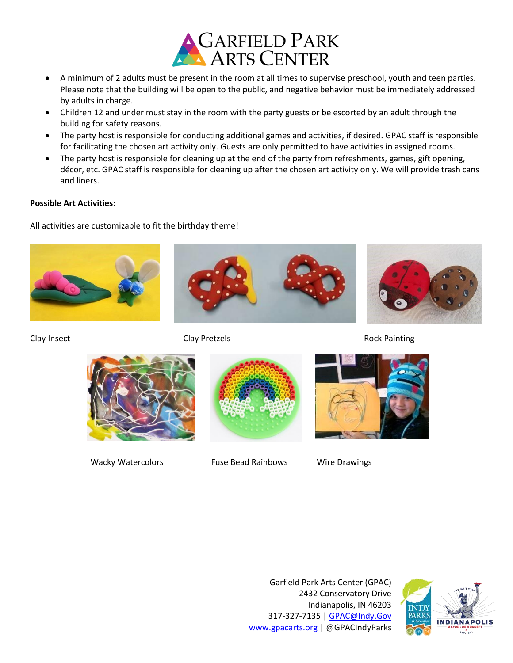

- A minimum of 2 adults must be present in the room at all times to supervise preschool, youth and teen parties. Please note that the building will be open to the public, and negative behavior must be immediately addressed by adults in charge.
- Children 12 and under must stay in the room with the party guests or be escorted by an adult through the building for safety reasons.
- The party host is responsible for conducting additional games and activities, if desired. GPAC staff is responsible for facilitating the chosen art activity only. Guests are only permitted to have activities in assigned rooms.
- The party host is responsible for cleaning up at the end of the party from refreshments, games, gift opening, décor, etc. GPAC staff is responsible for cleaning up after the chosen art activity only. We will provide trash cans and liners.

#### **Possible Art Activities:**

All activities are customizable to fit the birthday theme!









Wacky Watercolors Fuse Bead Rainbows Wire Drawings



Garfield Park Arts Center (GPAC) 2432 Conservatory Drive Indianapolis, IN 46203 317-327-7135 | [GPAC@Indy.Gov](mailto:GPAC@Indy.Gov) [www.gpacarts.org](http://www.gpacarts.org/) | @GPACIndyParks